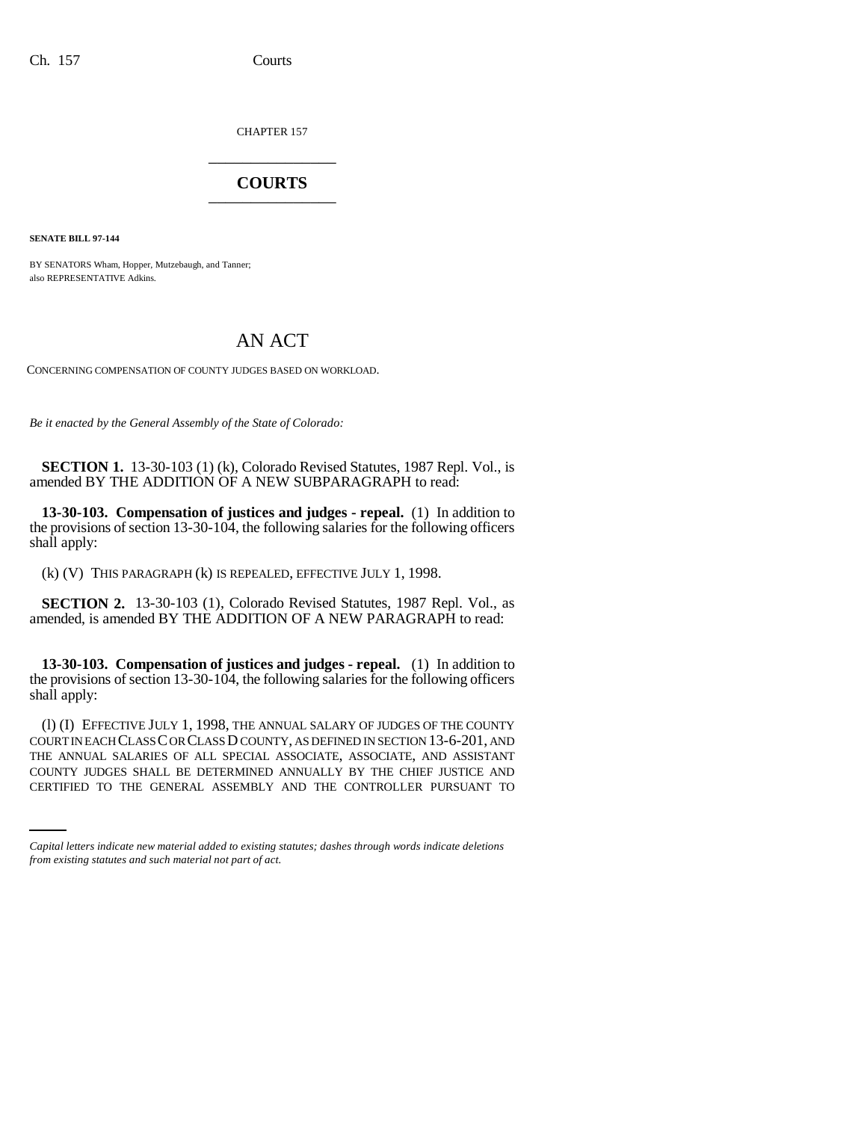CHAPTER 157 \_\_\_\_\_\_\_\_\_\_\_\_\_\_\_

## **COURTS** \_\_\_\_\_\_\_\_\_\_\_\_\_\_\_

**SENATE BILL 97-144**

BY SENATORS Wham, Hopper, Mutzebaugh, and Tanner; also REPRESENTATIVE Adkins.

## AN ACT

CONCERNING COMPENSATION OF COUNTY JUDGES BASED ON WORKLOAD.

*Be it enacted by the General Assembly of the State of Colorado:*

**SECTION 1.** 13-30-103 (1) (k), Colorado Revised Statutes, 1987 Repl. Vol., is amended BY THE ADDITION OF A NEW SUBPARAGRAPH to read:

**13-30-103. Compensation of justices and judges - repeal.** (1) In addition to the provisions of section 13-30-104, the following salaries for the following officers shall apply:

(k) (V) THIS PARAGRAPH (k) IS REPEALED, EFFECTIVE JULY 1, 1998.

**SECTION 2.** 13-30-103 (1), Colorado Revised Statutes, 1987 Repl. Vol., as amended, is amended BY THE ADDITION OF A NEW PARAGRAPH to read:

**13-30-103. Compensation of justices and judges - repeal.** (1) In addition to the provisions of section 13-30-104, the following salaries for the following officers shall apply:

THE ANNUAL SALARIES OF ALL SPECIAL ASSOCIATE, ASSOCIATE, AND ASSISTANT (l) (I) EFFECTIVE JULY 1, 1998, THE ANNUAL SALARY OF JUDGES OF THE COUNTY COURT IN EACH CLASS C OR CLASS D COUNTY, AS DEFINED IN SECTION 13-6-201, AND COUNTY JUDGES SHALL BE DETERMINED ANNUALLY BY THE CHIEF JUSTICE AND CERTIFIED TO THE GENERAL ASSEMBLY AND THE CONTROLLER PURSUANT TO

*Capital letters indicate new material added to existing statutes; dashes through words indicate deletions from existing statutes and such material not part of act.*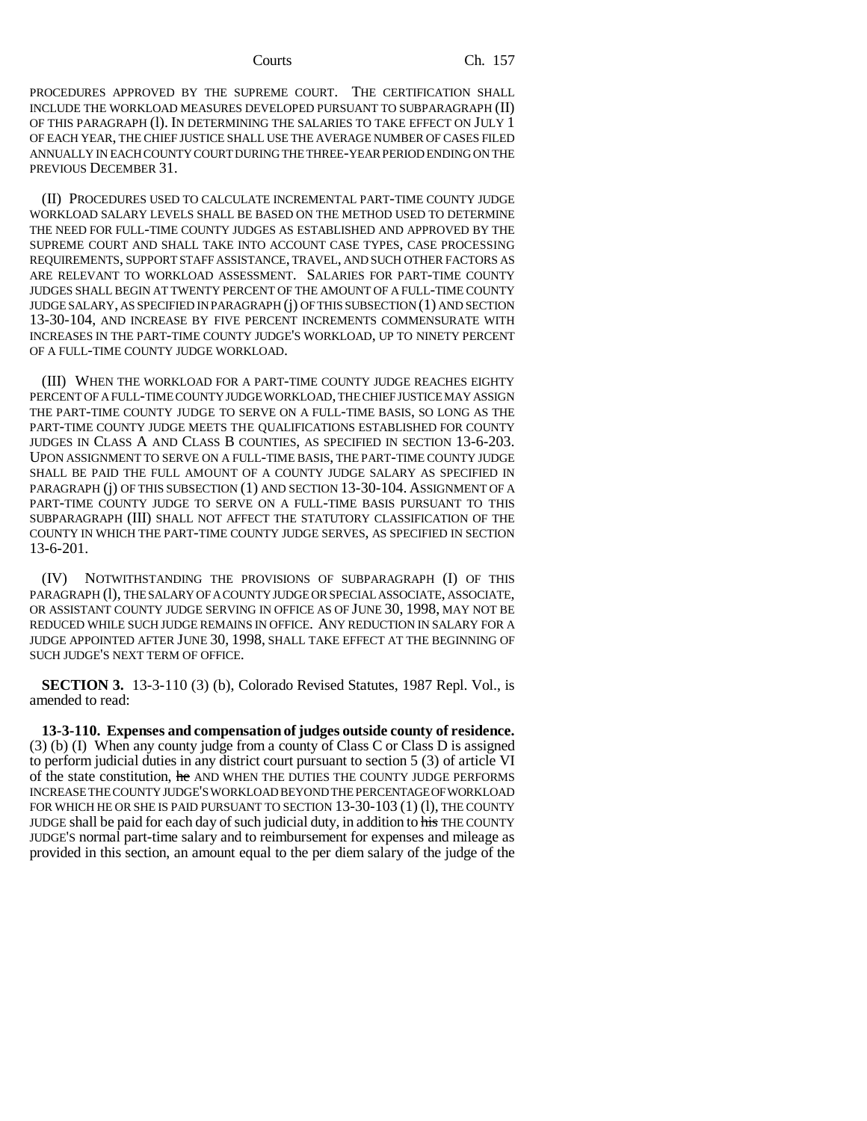PROCEDURES APPROVED BY THE SUPREME COURT. THE CERTIFICATION SHALL INCLUDE THE WORKLOAD MEASURES DEVELOPED PURSUANT TO SUBPARAGRAPH (II) OF THIS PARAGRAPH (l). IN DETERMINING THE SALARIES TO TAKE EFFECT ON JULY 1 OF EACH YEAR, THE CHIEF JUSTICE SHALL USE THE AVERAGE NUMBER OF CASES FILED ANNUALLY IN EACH COUNTY COURT DURING THE THREE-YEAR PERIOD ENDING ON THE PREVIOUS DECEMBER 31.

(II) PROCEDURES USED TO CALCULATE INCREMENTAL PART-TIME COUNTY JUDGE WORKLOAD SALARY LEVELS SHALL BE BASED ON THE METHOD USED TO DETERMINE THE NEED FOR FULL-TIME COUNTY JUDGES AS ESTABLISHED AND APPROVED BY THE SUPREME COURT AND SHALL TAKE INTO ACCOUNT CASE TYPES, CASE PROCESSING REQUIREMENTS, SUPPORT STAFF ASSISTANCE, TRAVEL, AND SUCH OTHER FACTORS AS ARE RELEVANT TO WORKLOAD ASSESSMENT. SALARIES FOR PART-TIME COUNTY JUDGES SHALL BEGIN AT TWENTY PERCENT OF THE AMOUNT OF A FULL-TIME COUNTY JUDGE SALARY, AS SPECIFIED IN PARAGRAPH (j) OF THIS SUBSECTION (1) AND SECTION 13-30-104, AND INCREASE BY FIVE PERCENT INCREMENTS COMMENSURATE WITH INCREASES IN THE PART-TIME COUNTY JUDGE'S WORKLOAD, UP TO NINETY PERCENT OF A FULL-TIME COUNTY JUDGE WORKLOAD.

(III) WHEN THE WORKLOAD FOR A PART-TIME COUNTY JUDGE REACHES EIGHTY PERCENT OF A FULL-TIME COUNTY JUDGE WORKLOAD, THE CHIEF JUSTICE MAY ASSIGN THE PART-TIME COUNTY JUDGE TO SERVE ON A FULL-TIME BASIS, SO LONG AS THE PART-TIME COUNTY JUDGE MEETS THE QUALIFICATIONS ESTABLISHED FOR COUNTY JUDGES IN CLASS A AND CLASS B COUNTIES, AS SPECIFIED IN SECTION 13-6-203. UPON ASSIGNMENT TO SERVE ON A FULL-TIME BASIS, THE PART-TIME COUNTY JUDGE SHALL BE PAID THE FULL AMOUNT OF A COUNTY JUDGE SALARY AS SPECIFIED IN PARAGRAPH (j) OF THIS SUBSECTION (1) AND SECTION 13-30-104. ASSIGNMENT OF A PART-TIME COUNTY JUDGE TO SERVE ON A FULL-TIME BASIS PURSUANT TO THIS SUBPARAGRAPH (III) SHALL NOT AFFECT THE STATUTORY CLASSIFICATION OF THE COUNTY IN WHICH THE PART-TIME COUNTY JUDGE SERVES, AS SPECIFIED IN SECTION 13-6-201.

(IV) NOTWITHSTANDING THE PROVISIONS OF SUBPARAGRAPH (I) OF THIS PARAGRAPH (l), THE SALARY OF A COUNTY JUDGE OR SPECIAL ASSOCIATE, ASSOCIATE, OR ASSISTANT COUNTY JUDGE SERVING IN OFFICE AS OF JUNE 30, 1998, MAY NOT BE REDUCED WHILE SUCH JUDGE REMAINS IN OFFICE. ANY REDUCTION IN SALARY FOR A JUDGE APPOINTED AFTER JUNE 30, 1998, SHALL TAKE EFFECT AT THE BEGINNING OF SUCH JUDGE'S NEXT TERM OF OFFICE.

**SECTION 3.** 13-3-110 (3) (b), Colorado Revised Statutes, 1987 Repl. Vol., is amended to read:

**13-3-110. Expenses and compensation of judges outside county of residence.** (3) (b) (I) When any county judge from a county of Class C or Class D is assigned to perform judicial duties in any district court pursuant to section 5 (3) of article VI of the state constitution, he AND WHEN THE DUTIES THE COUNTY JUDGE PERFORMS INCREASE THE COUNTY JUDGE'S WORKLOAD BEYOND THE PERCENTAGE OF WORKLOAD FOR WHICH HE OR SHE IS PAID PURSUANT TO SECTION 13-30-103 (1) (1), THE COUNTY JUDGE shall be paid for each day of such judicial duty, in addition to his THE COUNTY JUDGE'S normal part-time salary and to reimbursement for expenses and mileage as provided in this section, an amount equal to the per diem salary of the judge of the